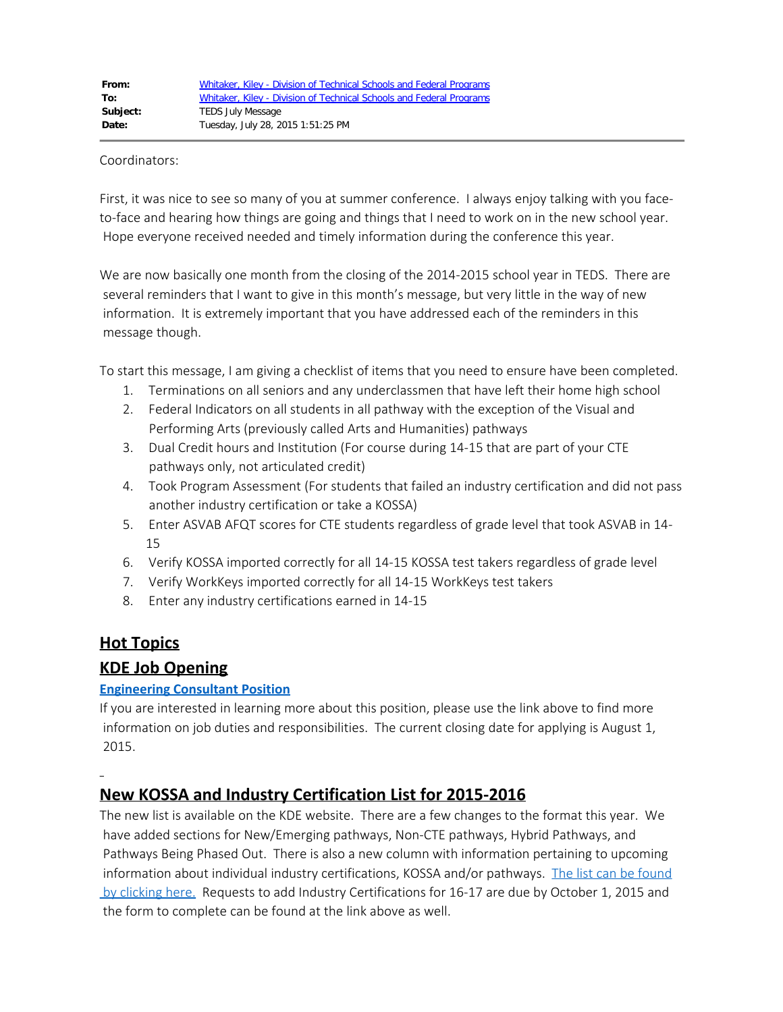#### Coordinators:

First, it was nice to see so many of you at summer conference. I always enjoy talking with you faceto-face and hearing how things are going and things that I need to work on in the new school year. Hope everyone received needed and timely information during the conference this year.

We are now basically one month from the closing of the 2014-2015 school year in TEDS. There are several reminders that I want to give in this month's message, but very little in the way of new information. It is extremely important that you have addressed each of the reminders in this message though.

To start this message, I am giving a checklist of items that you need to ensure have been completed.

- 1. Terminations on all seniors and any underclassmen that have left their home high school
- 2. Federal Indicators on all students in all pathway with the exception of the Visual and Performing Arts (previously called Arts and Humanities) pathways
- 3. Dual Credit hours and Institution (For course during 14-15 that are part of your CTE pathways only, not articulated credit)
- 4. Took Program Assessment (For students that failed an industry certification and did not pass another industry certification or take a KOSSA)
- 5. Enter ASVAB AFQT scores for CTE students regardless of grade level that took ASVAB in 14- 15
- 6. Verify KOSSA imported correctly for all 14-15 KOSSA test takers regardless of grade level
- 7. Verify WorkKeys imported correctly for all 14-15 WorkKeys test takers
- 8. Enter any industry certifications earned in 14-15

#### **Hot Topics**

#### **KDE Job Opening**

#### **[Engineering Consultant Position](http://education.ky.gov/jobs/Pages/Education-Vocational-Program-Consultant---30025110.aspx)**

If you are interested in learning more about this position, please use the link above to find more information on job duties and responsibilities. The current closing date for applying is August 1, 2015.

# **New KOSSA and Industry Certification List for 2015-2016**

The new list is available on the KDE website. There are a few changes to the format this year. We have added sections for New/Emerging pathways, Non-CTE pathways, Hybrid Pathways, and Pathways Being Phased Out. There is also a new column with information pertaining to upcoming information about individual industry certifications, KOSSA and/or pathways. [The list can be found](http://education.ky.gov/CTE/kossa/Pages/ValidKOSSAList.aspx) by clicking here. Requests to add Industry Certifications for 16-17 are due by October 1, 2015 and the form to complete can be found at the link above as well.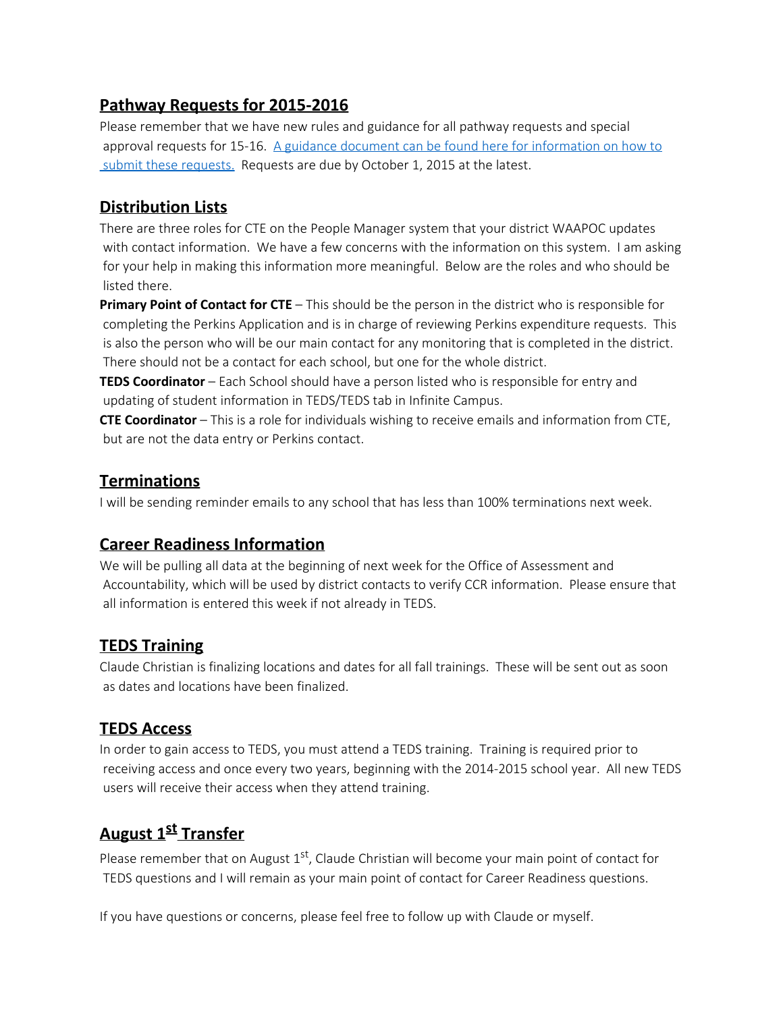## **Pathway Requests for 2015-2016**

Please remember that we have new rules and guidance for all pathway requests and special approval requests for 15-16. [A guidance document can be found here for information on how to](http://education.ky.gov/CTE/ctepa/Pages/default.aspx)  [submit these requests.](http://education.ky.gov/CTE/ctepa/Pages/default.aspx) Requests are due by October 1, 2015 at the latest.

## **Distribution Lists**

There are three roles for CTE on the People Manager system that your district WAAPOC updates with contact information. We have a few concerns with the information on this system. I am asking for your help in making this information more meaningful. Below are the roles and who should be listed there.

**Primary Point of Contact for CTE** – This should be the person in the district who is responsible for completing the Perkins Application and is in charge of reviewing Perkins expenditure requests. This is also the person who will be our main contact for any monitoring that is completed in the district. There should not be a contact for each school, but one for the whole district.

**TEDS Coordinator** – Each School should have a person listed who is responsible for entry and updating of student information in TEDS/TEDS tab in Infinite Campus.

**CTE Coordinator** – This is a role for individuals wishing to receive emails and information from CTE, but are not the data entry or Perkins contact.

### **Terminations**

I will be sending reminder emails to any school that has less than 100% terminations next week.

### **Career Readiness Information**

We will be pulling all data at the beginning of next week for the Office of Assessment and Accountability, which will be used by district contacts to verify CCR information. Please ensure that all information is entered this week if not already in TEDS.

## **TEDS Training**

Claude Christian is finalizing locations and dates for all fall trainings. These will be sent out as soon as dates and locations have been finalized.

### **TEDS Access**

In order to gain access to TEDS, you must attend a TEDS training. Training is required prior to receiving access and once every two years, beginning with the 2014-2015 school year. All new TEDS users will receive their access when they attend training.

# **August 1<sup>st</sup> Transfer**

Please remember that on August  $1<sup>st</sup>$ , Claude Christian will become your main point of contact for TEDS questions and I will remain as your main point of contact for Career Readiness questions.

If you have questions or concerns, please feel free to follow up with Claude or myself.